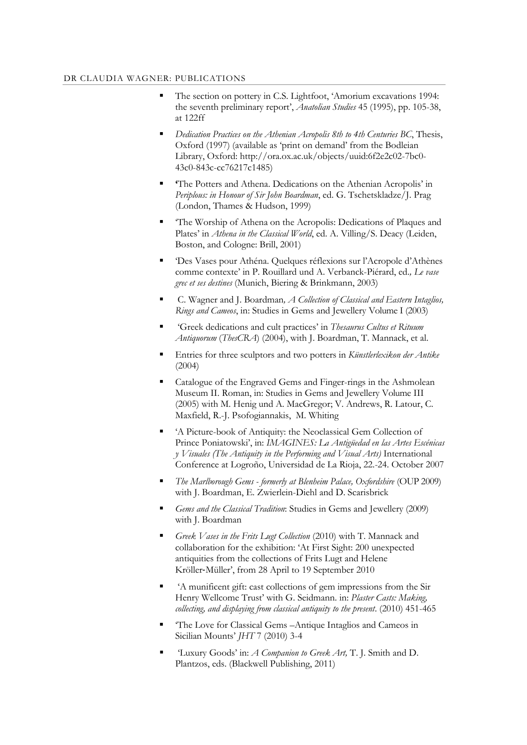## DR CLAUDIA WAGNER: PUBLICATIONS

- The section on pottery in C.S. Lightfoot, 'Amorium excavations 1994: the seventh preliminary report', *Anatolian Studies* 45 (1995), pp. 105-38, at 122ff
- *Dedication Practices on the Athenian Acropolis 8th to 4th Centuries BC*, Thesis, Oxford (1997) (available as 'print on demand' from the Bodleian Library, Oxford: http://ora.ox.ac.uk/objects/uuid:6f2e2c02-7bc0- 43c0-843c-cc76217c1485)
- **'**The Potters and Athena. Dedications on the Athenian Acropolis' in *Periplous: in Honour of Sir John Boardman*, ed. G. Tschetskladze/J. Prag (London, Thames & Hudson, 1999)
- 'The Worship of Athena on the Acropolis: Dedications of Plaques and Plates' in *Athena in the Classical World*, ed. A. Villing/S. Deacy (Leiden, Boston, and Cologne: Brill, 2001)
- 'Des Vases pour Athéna. Quelques réflexions sur l'Acropole d'Athènes comme contexte' in P. Rouillard und A. Verbanck-Piérard, ed.*, Le vase grec et ses destines* (Munich, Biering & Brinkmann, 2003)
- C. Wagner and J. Boardman*, A Collection of Classical and Eastern Intaglios, Rings and Cameos*, in: Studies in Gems and Jewellery Volume I (2003)
- 'Greek dedications and cult practices' in *Thesaurus Cultus et Rituum Antiquorum* (*ThesCRA*) (2004), with J. Boardman, T. Mannack, et al.
- Entries for three sculptors and two potters in *Künstlerlexikon der Antike*  (2004)
- Catalogue of the Engraved Gems and Finger-rings in the Ashmolean Museum II. Roman, in: Studies in Gems and Jewellery Volume III (2005) with M. Henig und A. MacGregor; V. Andrews, R. Latour, C. Maxfield, R.-J. Psofogiannakis, M. Whiting
- 'A Picture-book of Antiquity: the Neoclassical Gem Collection of Prince Poniatowski', in: *IMAGINES: La Antigüedad en las Artes Escénicas y Visuales (The Antiquity in the Performing and Visual Arts)* International Conference at Logroño, Universidad de La Rioja, 22.-24. October 2007
- *The Marlborough Gems - formerly at Blenheim Palace, Oxfordshire* (OUP 2009) with J. Boardman, E. Zwierlein-Diehl and D. Scarisbrick
- *Gems and the Classical Tradition*: Studies in Gems and Jewellery (2009) with J. Boardman
- *Greek Vases in the Frits Lugt Collection* (2010) with T. Mannack and collaboration for the exhibition: 'At First Sight: 200 unexpected antiquities from the collections of Frits Lugt and Helene Kröller‐Müller', from 28 April to 19 September 2010
- 'A munificent gift: cast collections of gem impressions from the Sir Henry Wellcome Trust' with G. Seidmann. in: *Plaster Casts: Making, collecting, and displaying from classical antiquity to the present*. (2010) 451-465
- 'The Love for Classical Gems –Antique Intaglios and Cameos in Sicilian Mounts' *JHT* 7 (2010) 3-4
- 'Luxury Goods' in: *A Companion to Greek Art,* T. J. Smith and D. Plantzos, eds. (Blackwell Publishing, 2011)